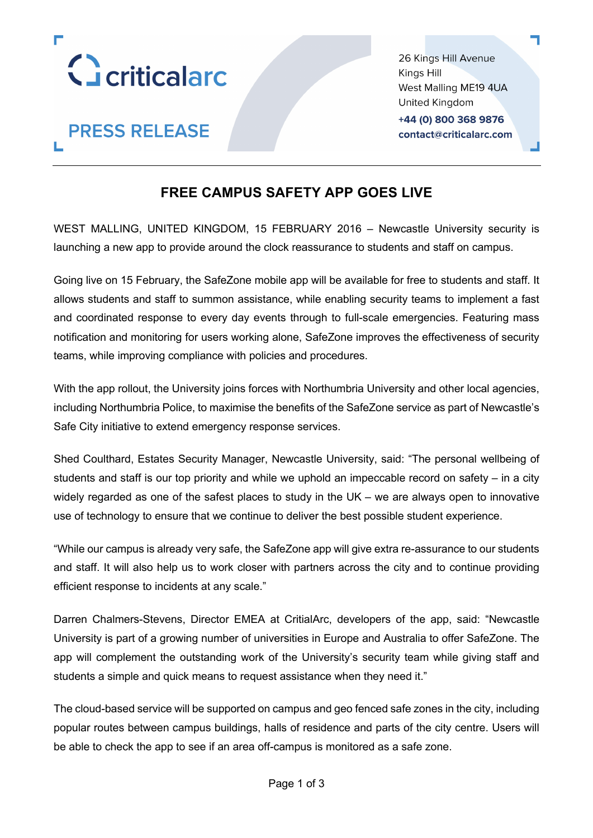

**PRESS RELEASE** 

26 Kings Hill Avenue Kings Hill West Malling ME19 4UA United Kingdom +44 (0) 800 368 9876 contact@criticalarc.com

# **FREE CAMPUS SAFETY APP GOES LIVE**

WEST MALLING, UNITED KINGDOM, 15 FEBRUARY 2016 – Newcastle University security is launching a new app to provide around the clock reassurance to students and staff on campus.

Going live on 15 February, the SafeZone mobile app will be available for free to students and staff. It allows students and staff to summon assistance, while enabling security teams to implement a fast and coordinated response to every day events through to full-scale emergencies. Featuring mass notification and monitoring for users working alone, SafeZone improves the effectiveness of security teams, while improving compliance with policies and procedures.

With the app rollout, the University joins forces with Northumbria University and other local agencies, including Northumbria Police, to maximise the benefits of the SafeZone service as part of Newcastle's Safe City initiative to extend emergency response services.

Shed Coulthard, Estates Security Manager, Newcastle University, said: "The personal wellbeing of students and staff is our top priority and while we uphold an impeccable record on safety – in a city widely regarded as one of the safest places to study in the UK – we are always open to innovative use of technology to ensure that we continue to deliver the best possible student experience.

"While our campus is already very safe, the SafeZone app will give extra re-assurance to our students and staff. It will also help us to work closer with partners across the city and to continue providing efficient response to incidents at any scale."

Darren Chalmers-Stevens, Director EMEA at CritialArc, developers of the app, said: "Newcastle University is part of a growing number of universities in Europe and Australia to offer SafeZone. The app will complement the outstanding work of the University's security team while giving staff and students a simple and quick means to request assistance when they need it."

The cloud-based service will be supported on campus and geo fenced safe zones in the city, including popular routes between campus buildings, halls of residence and parts of the city centre. Users will be able to check the app to see if an area off-campus is monitored as a safe zone.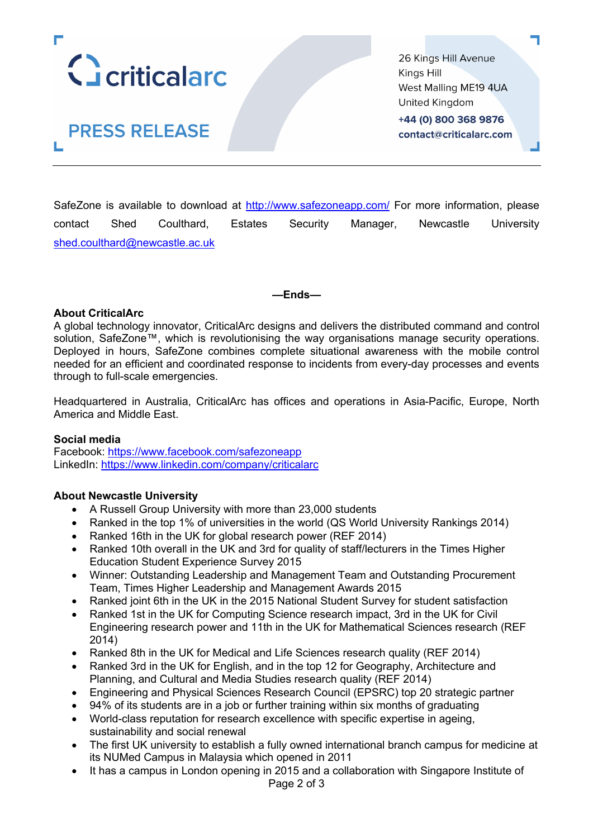

26 Kings Hill Avenue Kings Hill West Malling ME19 4UA United Kingdom +44 (0) 800 368 9876 contact@criticalarc.com

**PRESS RELEASE** 

SafeZone is available to download at http://www.safezoneapp.com/ For more information, please contact Shed Coulthard, Estates Security Manager, Newcastle University shed.coulthard@newcastle.ac.uk

**—Ends—**

## **About CriticalArc**

A global technology innovator, CriticalArc designs and delivers the distributed command and control solution, SafeZone™, which is revolutionising the way organisations manage security operations. Deployed in hours, SafeZone combines complete situational awareness with the mobile control needed for an efficient and coordinated response to incidents from every-day processes and events through to full-scale emergencies.

Headquartered in Australia, CriticalArc has offices and operations in Asia-Pacific, Europe, North America and Middle East.

#### **Social media**

Facebook: https://www.facebook.com/safezoneapp LinkedIn: https://www.linkedin.com/company/criticalarc

## **About Newcastle University**

- A Russell Group University with more than 23,000 students
- Ranked in the top 1% of universities in the world (QS World University Rankings 2014)
- Ranked 16th in the UK for global research power (REF 2014)
- Ranked 10th overall in the UK and 3rd for quality of staff/lecturers in the Times Higher Education Student Experience Survey 2015
- Winner: Outstanding Leadership and Management Team and Outstanding Procurement Team, Times Higher Leadership and Management Awards 2015
- Ranked joint 6th in the UK in the 2015 National Student Survey for student satisfaction
- Ranked 1st in the UK for Computing Science research impact, 3rd in the UK for Civil Engineering research power and 11th in the UK for Mathematical Sciences research (REF 2014)
- Ranked 8th in the UK for Medical and Life Sciences research quality (REF 2014)
- Ranked 3rd in the UK for English, and in the top 12 for Geography, Architecture and Planning, and Cultural and Media Studies research quality (REF 2014)
- Engineering and Physical Sciences Research Council (EPSRC) top 20 strategic partner
- 94% of its students are in a job or further training within six months of graduating
- World-class reputation for research excellence with specific expertise in ageing, sustainability and social renewal
- The first UK university to establish a fully owned international branch campus for medicine at its NUMed Campus in Malaysia which opened in 2011
- It has a campus in London opening in 2015 and a collaboration with Singapore Institute of